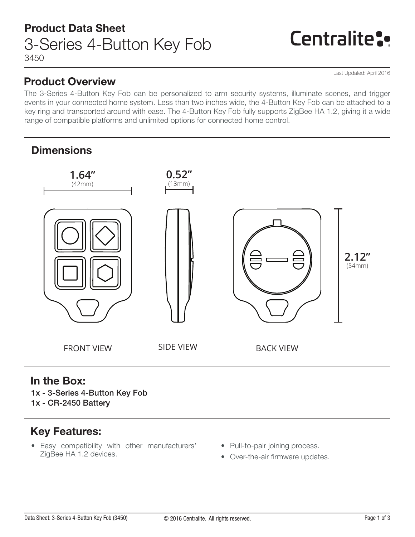## Product Overview

Last Updated: April 2016

Centralite:

The 3-Series 4-Button Key Fob can be personalized to arm security systems, illuminate scenes, and trigger events in your connected home system. Less than two inches wide, the 4-Button Key Fob can be attached to a key ring and transported around with ease. The 4-Button Key Fob fully supports ZigBee HA 1.2, giving it a wide range of compatible platforms and unlimited options for connected home control.

## **Dimensions**



## In the Box:

1x - 3-Series 4-Button Key Fob 1x - CR-2450 Battery

## Key Features:

- Easy compatibility with other manufacturers' ZigBee HA 1.2 devices.
- Pull-to-pair joining process.
- Over-the-air firmware updates.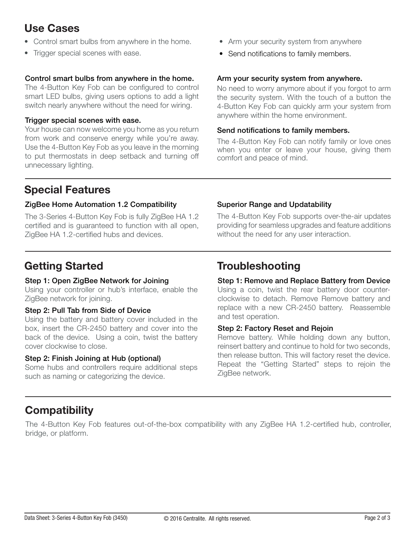## Use Cases

- Control smart bulbs from anywhere in the home.
- Trigger special scenes with ease.

#### Control smart bulbs from anywhere in the home.

The 4-Button Key Fob can be configured to control smart LED bulbs, giving users options to add a light switch nearly anywhere without the need for wiring.

#### Trigger special scenes with ease.

Your house can now welcome you home as you return from work and conserve energy while you're away. Use the 4-Button Key Fob as you leave in the morning to put thermostats in deep setback and turning off unnecessary lighting.

## Special Features

#### ZigBee Home Automation 1.2 Compatibility

The 3-Series 4-Button Key Fob is fully ZigBee HA 1.2 certified and is guaranteed to function with all open, ZigBee HA 1.2-certified hubs and devices.

#### • Arm your security system from anywhere

• Send notifications to family members.

#### Arm your security system from anywhere.

No need to worry anymore about if you forgot to arm the security system. With the touch of a button the 4-Button Key Fob can quickly arm your system from anywhere within the home environment.

#### Send notifications to family members.

The 4-Button Key Fob can notify family or love ones when you enter or leave your house, giving them comfort and peace of mind.

#### Superior Range and Updatability

The 4-Button Key Fob supports over-the-air updates providing for seamless upgrades and feature additions without the need for any user interaction.

#### Step 1: Open ZigBee Network for Joining

Using your controller or hub's interface, enable the ZigBee network for joining.

#### Step 2: Pull Tab from Side of Device

Using the battery and battery cover included in the box, insert the CR-2450 battery and cover into the back of the device. Using a coin, twist the battery cover clockwise to close.

#### Step 2: Finish Joining at Hub (optional)

Some hubs and controllers require additional steps such as naming or categorizing the device.

## Getting Started Troubleshooting

## Step 1: Remove and Replace Battery from Device

Using a coin, twist the rear battery door counterclockwise to detach. Remove Remove battery and replace with a new CR-2450 battery. Reassemble and test operation.

#### Step 2: Factory Reset and Rejoin

Remove battery. While holding down any button, reinsert battery and continue to hold for two seconds, then release button. This will factory reset the device. Repeat the "Getting Started" steps to rejoin the ZigBee network.

## **Compatibility**

The 4-Button Key Fob features out-of-the-box compatibility with any ZigBee HA 1.2-certified hub, controller, bridge, or platform.